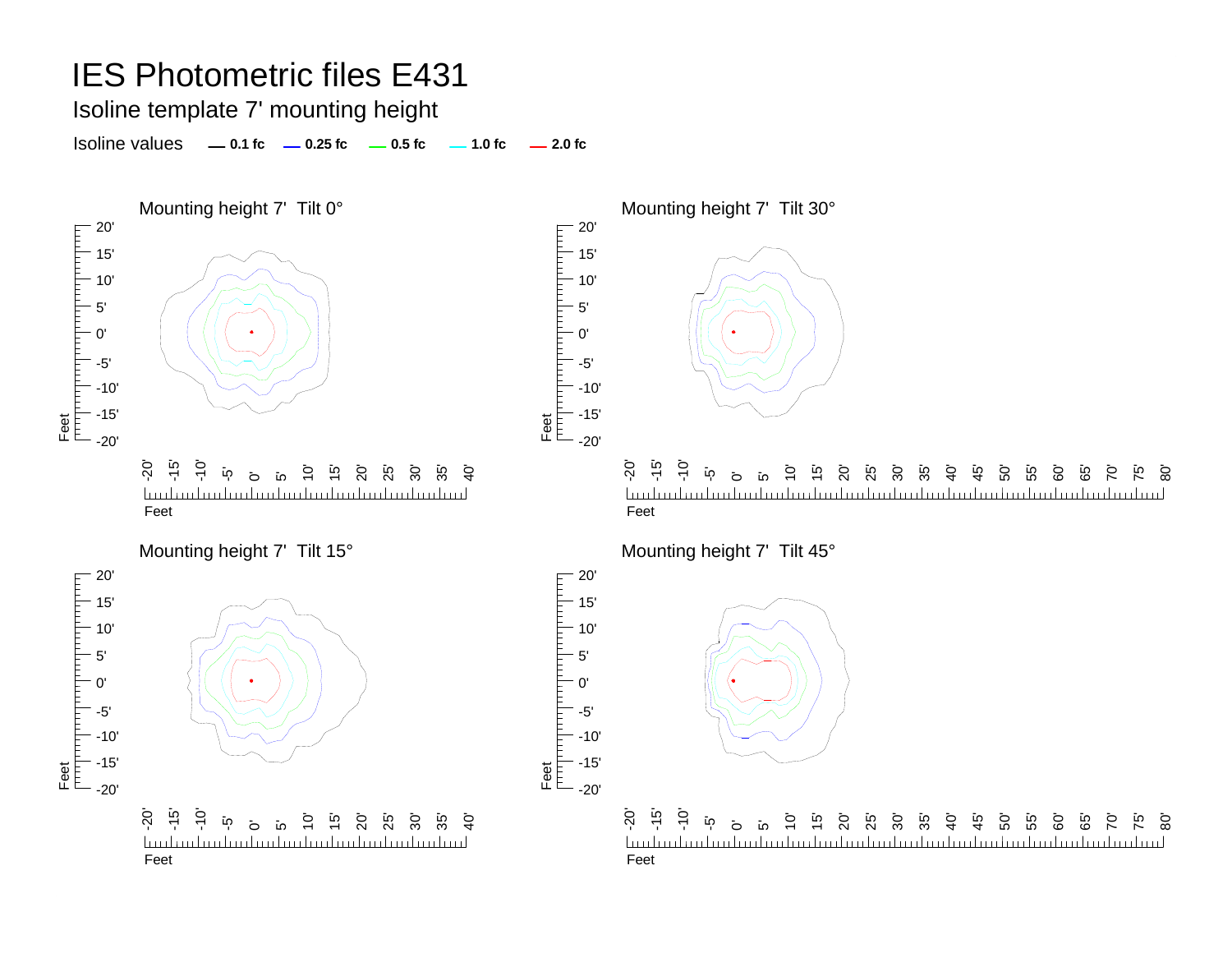Isoline template 7' mounting height

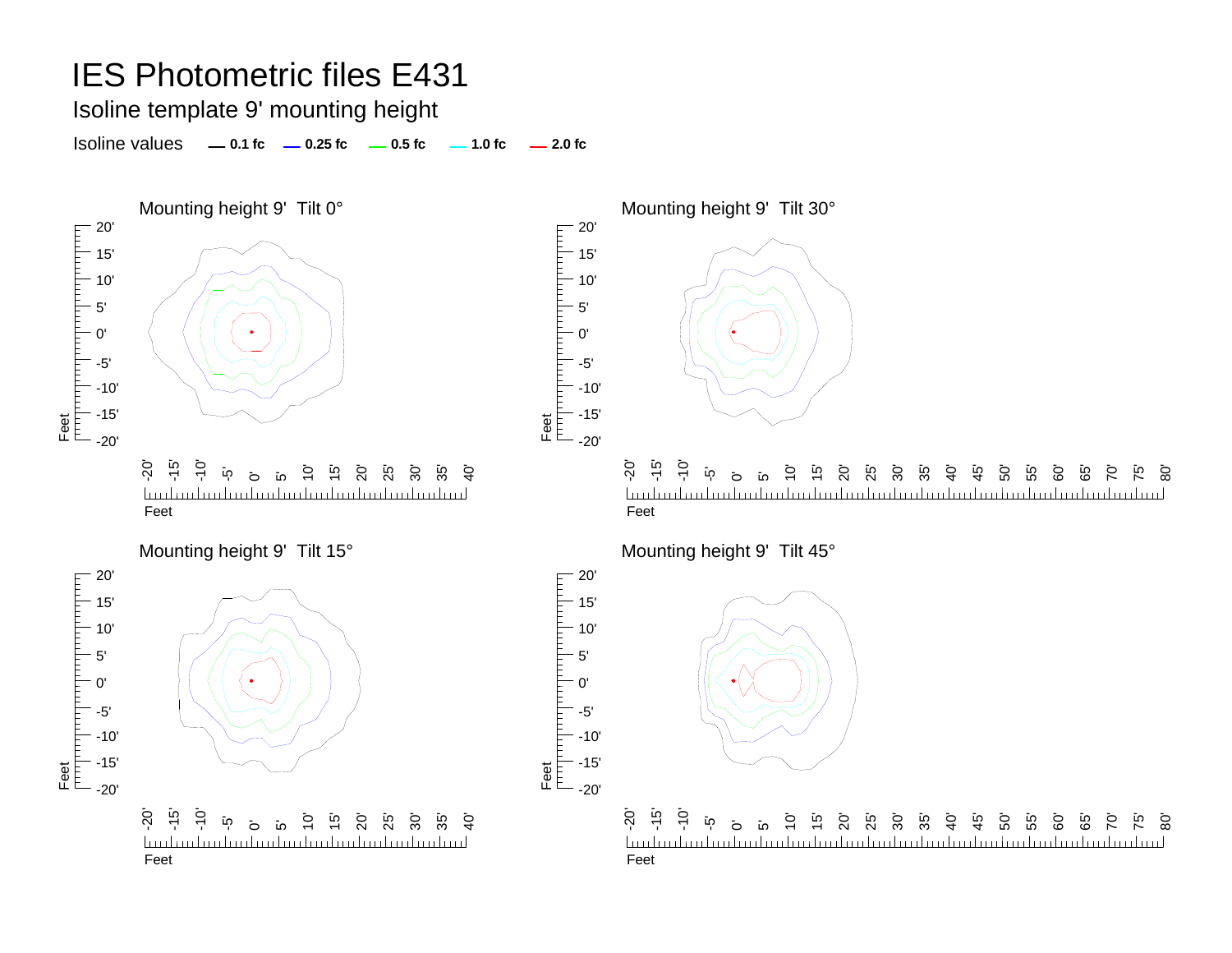Isoline template 9' mounting height

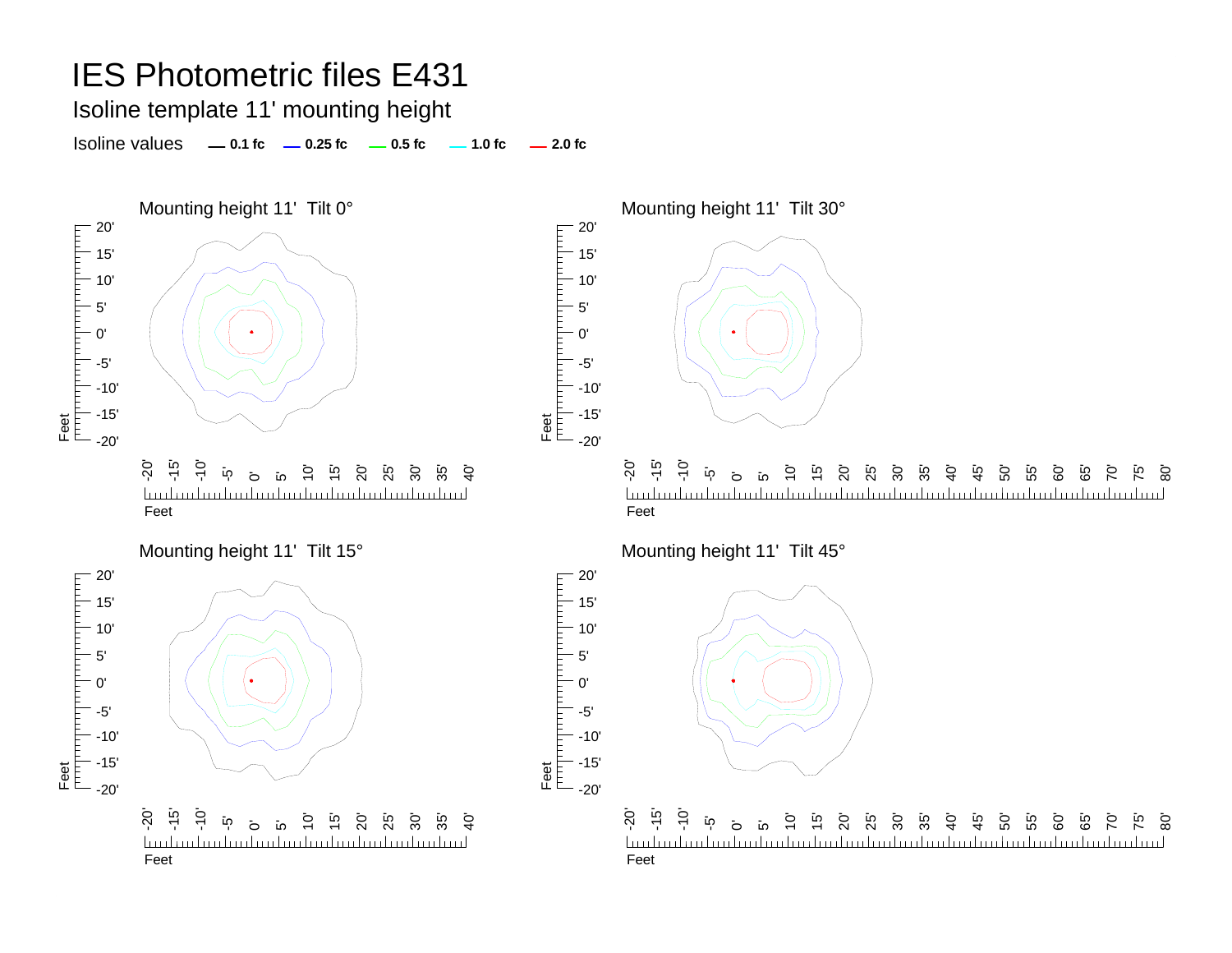Isoline template 11' mounting height

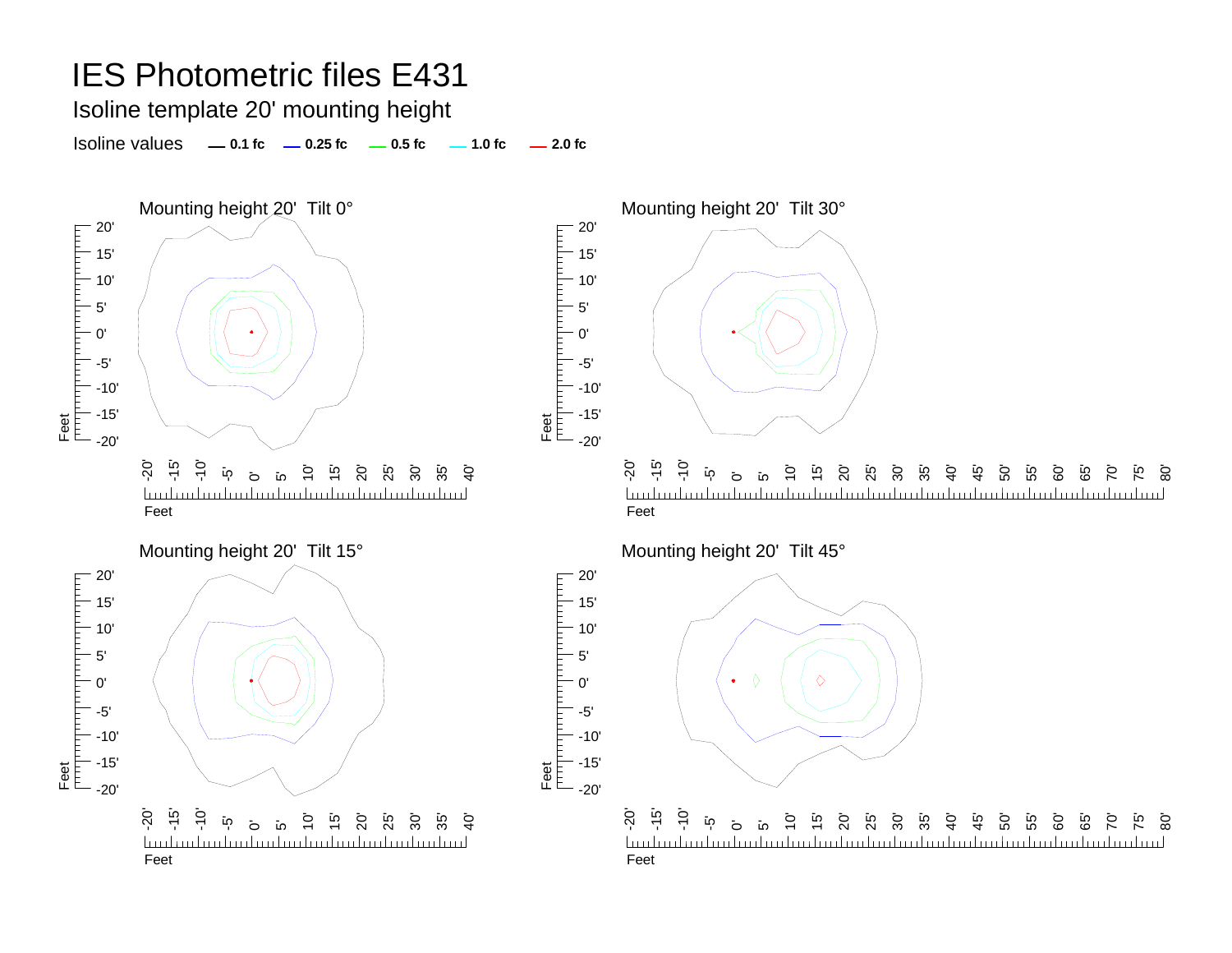Isoline template 20' mounting height

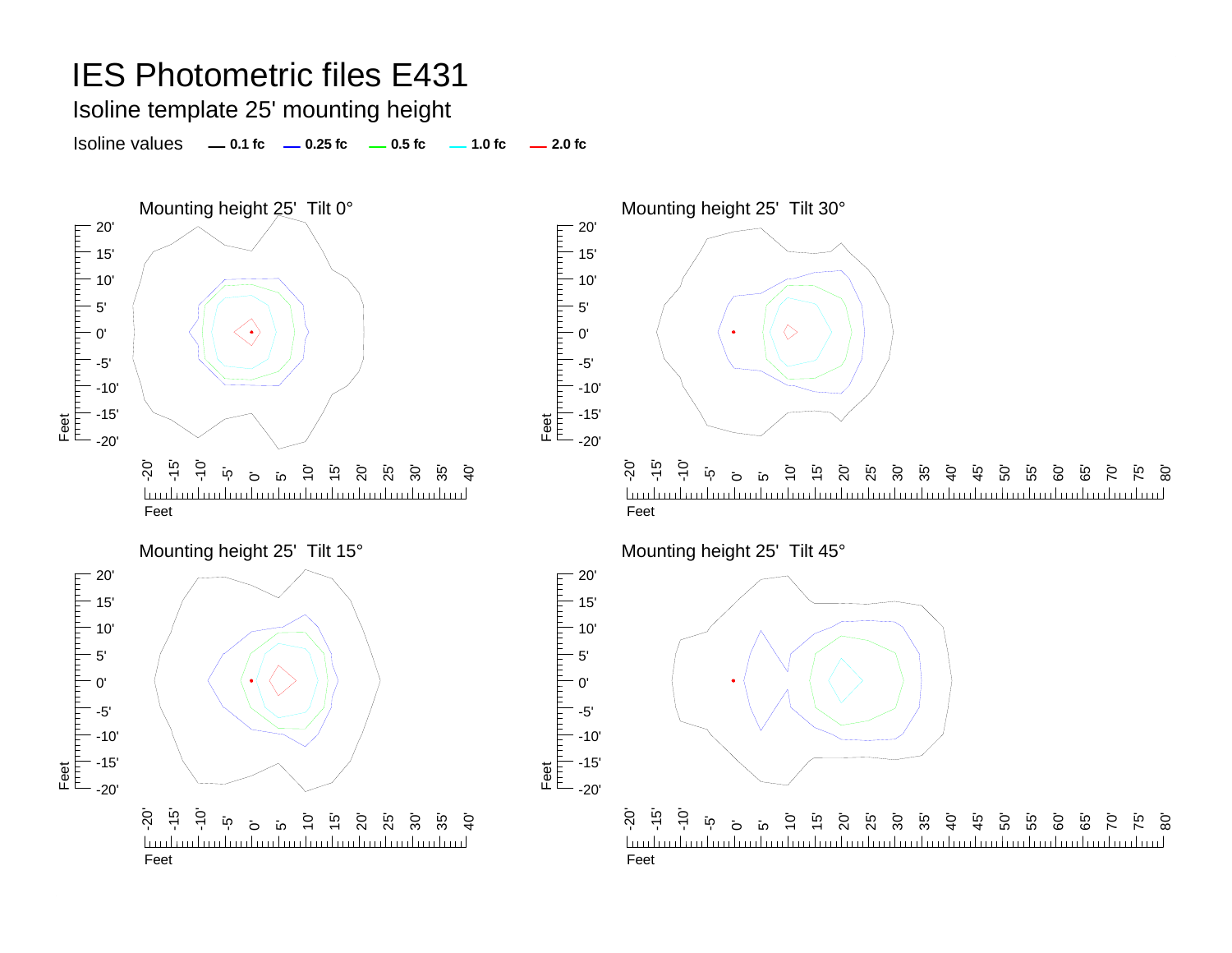Isoline template 25' mounting height